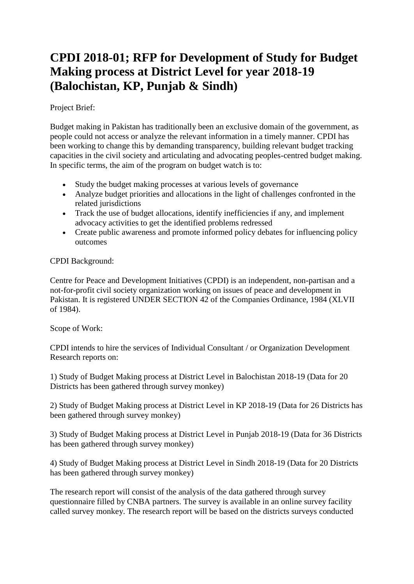# **CPDI 2018-01; RFP for Development of Study for Budget Making process at District Level for year 2018-19 (Balochistan, KP, Punjab & Sindh)**

## Project Brief:

Budget making in Pakistan has traditionally been an exclusive domain of the government, as people could not access or analyze the relevant information in a timely manner. CPDI has been working to change this by demanding transparency, building relevant budget tracking capacities in the civil society and articulating and advocating peoples-centred budget making. In specific terms, the aim of the program on budget watch is to:

- Study the budget making processes at various levels of governance
- Analyze budget priorities and allocations in the light of challenges confronted in the related jurisdictions
- Track the use of budget allocations, identify inefficiencies if any, and implement advocacy activities to get the identified problems redressed
- Create public awareness and promote informed policy debates for influencing policy outcomes

### CPDI Background:

Centre for Peace and Development Initiatives (CPDI) is an independent, non-partisan and a not-for-profit civil society organization working on issues of peace and development in Pakistan. It is registered UNDER SECTION 42 of the Companies Ordinance, 1984 (XLVII of 1984).

Scope of Work:

CPDI intends to hire the services of Individual Consultant / or Organization Development Research reports on:

1) Study of Budget Making process at District Level in Balochistan 2018-19 (Data for 20 Districts has been gathered through survey monkey)

2) Study of Budget Making process at District Level in KP 2018-19 (Data for 26 Districts has been gathered through survey monkey)

3) Study of Budget Making process at District Level in Punjab 2018-19 (Data for 36 Districts has been gathered through survey monkey)

4) Study of Budget Making process at District Level in Sindh 2018-19 (Data for 20 Districts has been gathered through survey monkey)

The research report will consist of the analysis of the data gathered through survey questionnaire filled by CNBA partners. The survey is available in an online survey facility called survey monkey. The research report will be based on the districts surveys conducted